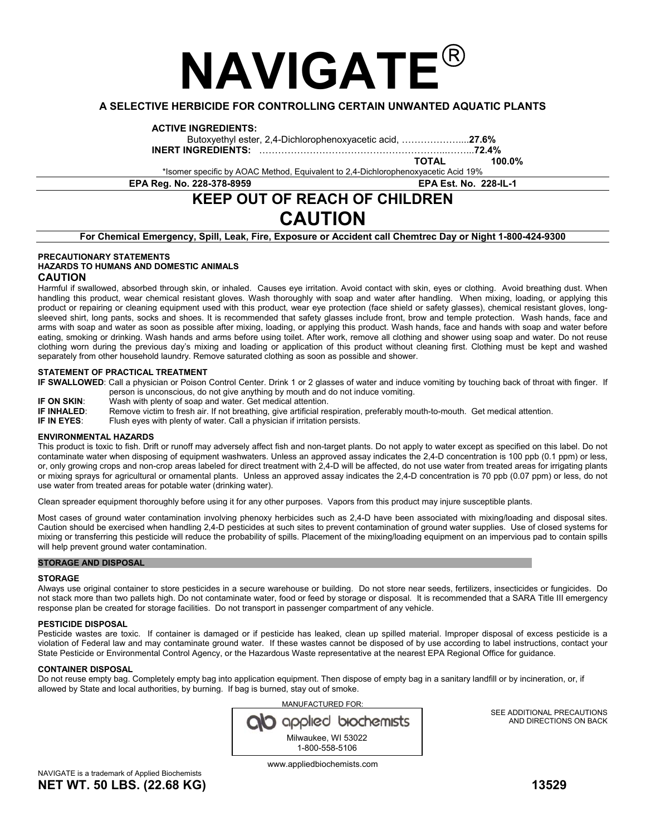# **NAVIGATE**

### **A SELECTIVE HERBICIDE FOR CONTROLLING CERTAIN UNWANTED AQUATIC PLANTS**

#### **ACTIVE INGREDIENTS:**

Butoxyethyl ester, 2,4-Dichlorophenoxyacetic acid, ………………....**27.6%**

**INERT INGREDIENTS:** …………………………………………………...……...**72.4%**

 **TOTAL 100.0%**

\*Isomer specific by AOAC Method, Equivalent to 2,4-Dichlorophenoxyacetic Acid 19% **EPA Reg. No. 228-378-8959 EPA Est. No. 228-IL-1** 

# **KEEP OUT OF REACH OF CHILDREN CAUTION**

**For Chemical Emergency, Spill, Leak, Fire, Exposure or Accident call Chemtrec Day or Night 1-800-424-9300** 

#### **PRECAUTIONARY STATEMENTS HAZARDS TO HUMANS AND DOMESTIC ANIMALS CAUTION**

Harmful if swallowed, absorbed through skin, or inhaled. Causes eye irritation. Avoid contact with skin, eyes or clothing. Avoid breathing dust. When handling this product, wear chemical resistant gloves. Wash thoroughly with soap and water after handling. When mixing, loading, or applying this product or repairing or cleaning equipment used with this product, wear eye protection (face shield or safety glasses), chemical resistant gloves, longsleeved shirt, long pants, socks and shoes. It is recommended that safety glasses include front, brow and temple protection. Wash hands, face and arms with soap and water as soon as possible after mixing, loading, or applying this product. Wash hands, face and hands with soap and water before eating, smoking or drinking. Wash hands and arms before using toilet. After work, remove all clothing and shower using soap and water. Do not reuse clothing worn during the previous day's mixing and loading or application of this product without cleaning first. Clothing must be kept and washed separately from other household laundry. Remove saturated clothing as soon as possible and shower.

#### **STATEMENT OF PRACTICAL TREATMENT**

**IF SWALLOWED**: Call a physician or Poison Control Center. Drink 1 or 2 glasses of water and induce vomiting by touching back of throat with finger. If person is unconscious, do not give anything by mouth and do not induce vomiting.

- **IF ON SKIN:** Wash with plenty of soap and water. Get medical attention.<br>**IF INHALED:** Remove victim to fresh air. If not breathing, give artificial res
	- Remove victim to fresh air. If not breathing, give artificial respiration, preferably mouth-to-mouth. Get medical attention.

**IF IN EYES:** Flush eyes with plenty of water. Call a physician if irritation persists.

#### **ENVIRONMENTAL HAZARDS**

This product is toxic to fish. Drift or runoff may adversely affect fish and non-target plants. Do not apply to water except as specified on this label. Do not contaminate water when disposing of equipment washwaters. Unless an approved assay indicates the 2,4-D concentration is 100 ppb (0.1 ppm) or less, or, only growing crops and non-crop areas labeled for direct treatment with 2,4-D will be affected, do not use water from treated areas for irrigating plants or mixing sprays for agricultural or ornamental plants. Unless an approved assay indicates the 2,4-D concentration is 70 ppb (0.07 ppm) or less, do not use water from treated areas for potable water (drinking water).

Clean spreader equipment thoroughly before using it for any other purposes. Vapors from this product may injure susceptible plants.

Most cases of ground water contamination involving phenoxy herbicides such as 2,4-D have been associated with mixing/loading and disposal sites. Caution should be exercised when handling 2,4-D pesticides at such sites to prevent contamination of ground water supplies. Use of closed systems for mixing or transferring this pesticide will reduce the probability of spills. Placement of the mixing/loading equipment on an impervious pad to contain spills will help prevent ground water contamination.

#### **STORAGE AND DISPOSAL**

#### **STORAGE**

Always use original container to store pesticides in a secure warehouse or building. Do not store near seeds, fertilizers, insecticides or fungicides. Do not stack more than two pallets high. Do not contaminate water, food or feed by storage or disposal. It is recommended that a SARA Title III emergency response plan be created for storage facilities. Do not transport in passenger compartment of any vehicle.

#### **PESTICIDE DISPOSAL**

Pesticide wastes are toxic. If container is damaged or if pesticide has leaked, clean up spilled material. Improper disposal of excess pesticide is a violation of Federal law and may contaminate ground water. If these wastes cannot be disposed of by use according to label instructions, contact your State Pesticide or Environmental Control Agency, or the Hazardous Waste representative at the nearest EPA Regional Office for guidance.

#### **CONTAINER DISPOSAL**

Do not reuse empty bag. Completely empty bag into application equipment. Then dispose of empty bag in a sanitary landfill or by incineration, or, if allowed by State and local authorities, by burning. If bag is burned, stay out of smoke.

> MANUFACTURED FOR: applied biochemists Milwaukee, WI 53022 1-800-558-5106

> > www.appliedbiochemists.com

SEE ADDITIONAL PRECAUTIONS AND DIRECTIONS ON BACK

NAVIGATE is a trademark of Applied Biochemists **NET WT. 50 LBS. (22.68 KG) 13529**